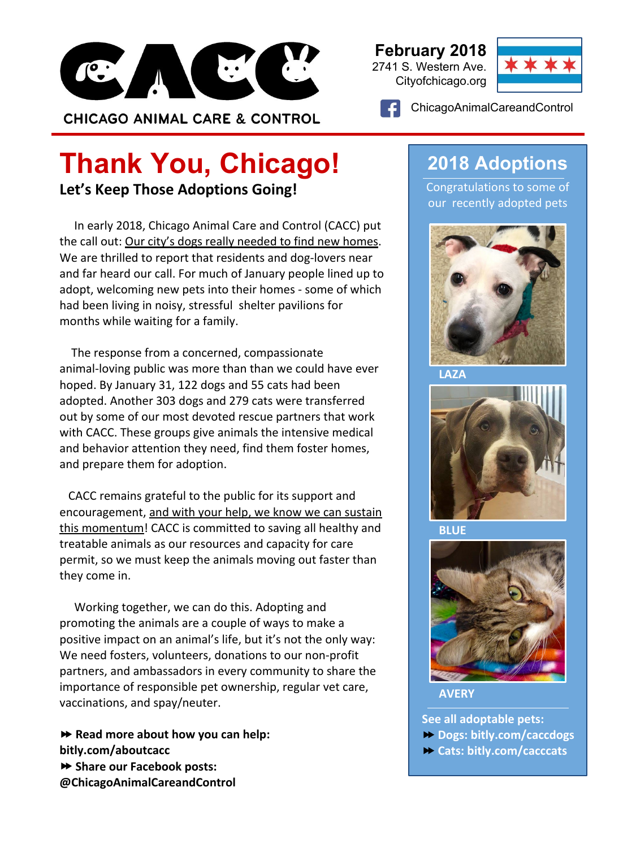

#### **February 2018** 2741 S. Western Ave.

Cityofchicago.org



ChicagoAnimalCareandControl

### **Let's Keep Those Adoptions Going! Thank You, Chicago!**

 In early 2018, Chicago Animal Care and Control (CACC) put the call out: Our city's dogs really needed to find new homes. We are thrilled to report that residents and dog-lovers near and far heard our call. For much of January people lined up to adopt, welcoming new pets into their homes - some of which had been living in noisy, stressful shelter pavilions for months while waiting for a family.

 The response from a concerned, compassionate animal-loving public was more than than we could have ever hoped. By January 31, 122 dogs and 55 cats had been adopted. Another 303 dogs and 279 cats were transferred out by some of our most devoted rescue partners that work with CACC. These groups give animals the intensive medical and behavior attention they need, find them foster homes, and prepare them for adoption.

 CACC remains grateful to the public for its support and encouragement, and with your help, we know we can sustain this momentum! CACC is committed to saving all healthy and treatable animals as our resources and capacity for care permit, so we must keep the animals moving out faster than they come in.

 Working together, we can do this. Adopting and promoting the animals are a couple of ways to make a positive impact on an animal's life, but it's not the only way: We need fosters, volunteers, donations to our non-profit partners, and ambassadors in every community to share the importance of responsible pet ownership, regular vet care, vaccinations, and spay/neuter.

⏩ **Read more about how you can help: bitly.com/aboutcacc**  ⏩ **Share our Facebook posts: @ChicagoAnimalCareandControl**

### **2018 Adoptions**

Congratulations to some of our recently adopted pets



**LAZA**



**BLUE**



**AVERY**

**See all adoptable pets:** 

- ⏩ **Dogs: bitly.com/caccdogs**
- ⏩ **Cats: bitly.com/cacccats**